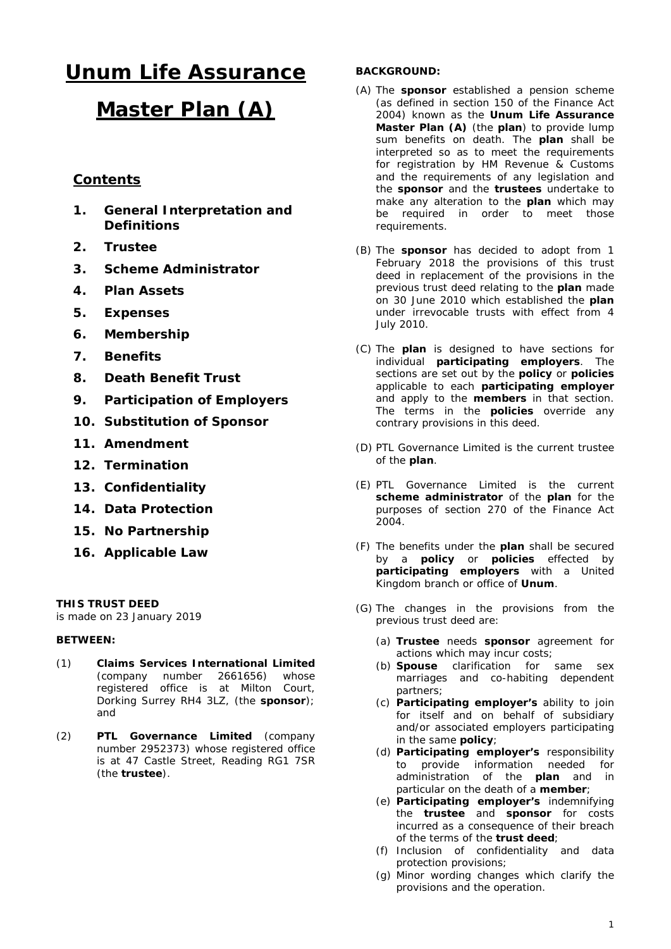# **Unum Life Assurance**

# **Master Plan (A)**

# **Contents**

- **1. General Interpretation and Definitions**
- **2. Trustee**
- **3. Scheme Administrator**
- **4. Plan Assets**
- **5. Expenses**
- **6. Membership**
- **7. Benefits**
- **8. Death Benefit Trust**
- **9. Participation of Employers**
- **10. Substitution of Sponsor**
- **11. Amendment**
- **12. Termination**
- **13. Confidentiality**
- **14. Data Protection**
- **15. No Partnership**
- **16. Applicable Law**

## **THIS TRUST DEED**

is made on 23 January 2019

## **BETWEEN:**

- (1) **Claims Services International Limited** (company number 2661656) whose registered office is at Milton Court, Dorking Surrey RH4 3LZ, (the **sponsor**); and
- (2) **PTL Governance Limited** (company number 2952373) whose registered office is at 47 Castle Street, Reading RG1 7SR (the **trustee**).

## **BACKGROUND:**

- (A) The **sponsor** established a pension scheme (as defined in section 150 of the Finance Act 2004) known as the **Unum Life Assurance Master Plan (A)** (the **plan**) to provide lump sum benefits on death. The **plan** shall be interpreted so as to meet the requirements for registration by HM Revenue & Customs and the requirements of any legislation and the **sponsor** and the **trustees** undertake to make any alteration to the **plan** which may be required in order to meet those requirements.
- (B) The **sponsor** has decided to adopt from 1 February 2018 the provisions of this trust deed in replacement of the provisions in the previous trust deed relating to the **plan** made on 30 June 2010 which established the **plan** under irrevocable trusts with effect from 4 July 2010.
- (C) The **plan** is designed to have sections for individual **participating employers**. The sections are set out by the **policy** or **policies** applicable to each **participating employer**  and apply to the **members** in that section. The terms in the **policies** override any contrary provisions in this deed.
- (D) PTL Governance Limited is the current trustee of the **plan**.
- (E) PTL Governance Limited is the current **scheme administrator** of the **plan** for the purposes of section 270 of the Finance Act 2004.
- (F) The benefits under the **plan** shall be secured by a **policy** or **policies** effected by **participating employers** with a United Kingdom branch or office of **Unum**.
- (G) The changes in the provisions from the previous trust deed are:
	- (a) **Trustee** needs **sponsor** agreement for actions which may incur costs;
	- (b) **Spouse** clarification for same sex marriages and co-habiting dependent partners;
	- (c) **Participating employer's** ability to join for itself and on behalf of subsidiary and/or associated employers participating in the same **policy**;
	- (d) **Participating employer's** responsibility to provide information needed for administration of the **plan** and in particular on the death of a **member**;
	- (e) **Participating employer's** indemnifying the **trustee** and **sponsor** for costs incurred as a consequence of their breach of the terms of the **trust deed**;
	- (f) Inclusion of confidentiality and data protection provisions;
	- (g) Minor wording changes which clarify the provisions and the operation.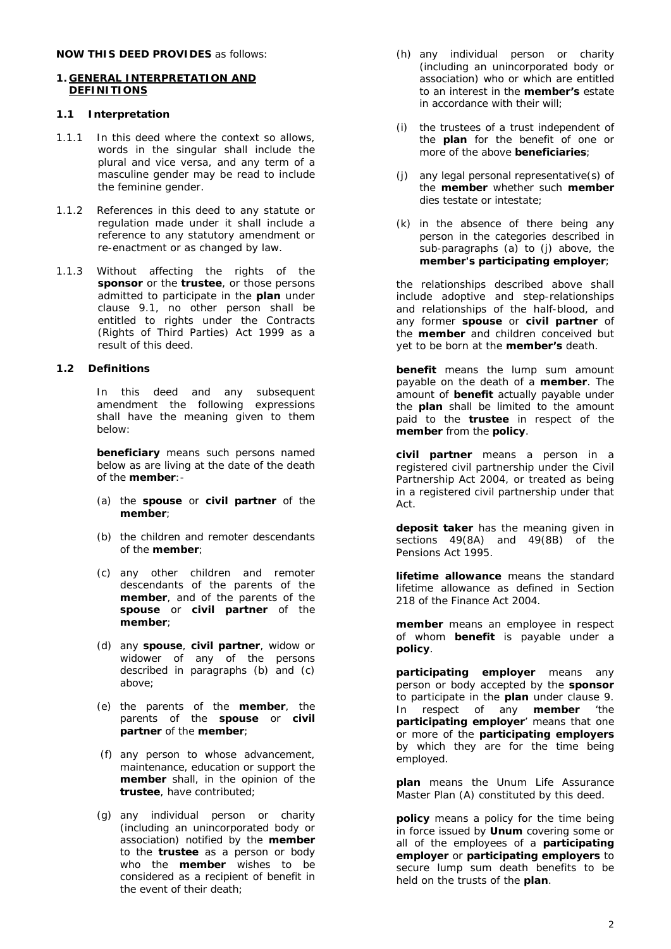#### **1. GENERAL INTERPRETATION AND DEFINITIONS**

#### **1.1 Interpretation**

- 1.1.1 In this deed where the context so allows, words in the singular shall include the plural and vice versa, and any term of a masculine gender may be read to include the feminine gender.
- 1.1.2 References in this deed to any statute or regulation made under it shall include a reference to any statutory amendment or re-enactment or as changed by law.
- 1.1.3 Without affecting the rights of the **sponsor** or the **trustee**, or those persons admitted to participate in the **plan** under clause 9.1, no other person shall be entitled to rights under the Contracts (Rights of Third Parties) Act 1999 as a result of this deed.

## **1.2 Definitions**

In this deed and any subsequent amendment the following expressions shall have the meaning given to them below:

**beneficiary** means such persons named below as are living at the date of the death of the **member**:-

- (a) the **spouse** or **civil partner** of the **member**;
- (b) the children and remoter descendants of the **member**;
- (c) any other children and remoter descendants of the parents of the **member**, and of the parents of the **spouse** or **civil partner** of the **member**;
- (d) any **spouse**, **civil partner**, widow or widower of any of the persons described in paragraphs (b) and (c) above;
- (e) the parents of the **member**, the parents of the **spouse** or **civil partner** of the **member**;
- (f) any person to whose advancement, maintenance, education or support the **member** shall, in the opinion of the **trustee**, have contributed;
- (g) any individual person or charity (including an unincorporated body or association) notified by the **member** to the **trustee** as a person or body who the **member** wishes to be considered as a recipient of benefit in the event of their death;
- (h) any individual person or charity (including an unincorporated body or association) who or which are entitled to an interest in the **member's** estate in accordance with their will;
- (i) the trustees of a trust independent of the **plan** for the benefit of one or more of the above **beneficiaries**;
- (j) any legal personal representative(s) of the **member** whether such **member** dies testate or intestate;
- (k) in the absence of there being any person in the categories described in sub-paragraphs (a) to (j) above, the **member's participating employer**;

the relationships described above shall include adoptive and step-relationships and relationships of the half-blood, and any former **spouse** or **civil partner** of the **member** and children conceived but yet to be born at the **member's** death.

**benefit** means the lump sum amount payable on the death of a **member**. The amount of **benefit** actually payable under the **plan** shall be limited to the amount paid to the **trustee** in respect of the **member** from the **policy**.

**civil partner** means a person in a registered civil partnership under the Civil Partnership Act 2004, or treated as being in a registered civil partnership under that Act.

**deposit taker** has the meaning given in sections 49(8A) and 49(8B) of the Pensions Act 1995.

**lifetime allowance** means the standard lifetime allowance as defined in Section 218 of the Finance Act 2004.

**member** means an employee in respect of whom **benefit** is payable under a **policy**.

**participating employer** means any person or body accepted by the **sponsor** to participate in the **plan** under clause 9. In respect of any **member** 'the **participating employer**' means that one or more of the **participating employers** by which they are for the time being employed.

**plan** means the Unum Life Assurance Master Plan (A) constituted by this deed.

**policy** means a policy for the time being in force issued by **Unum** covering some or all of the employees of a **participating employer** or **participating employers** to secure lump sum death benefits to be held on the trusts of the **plan**.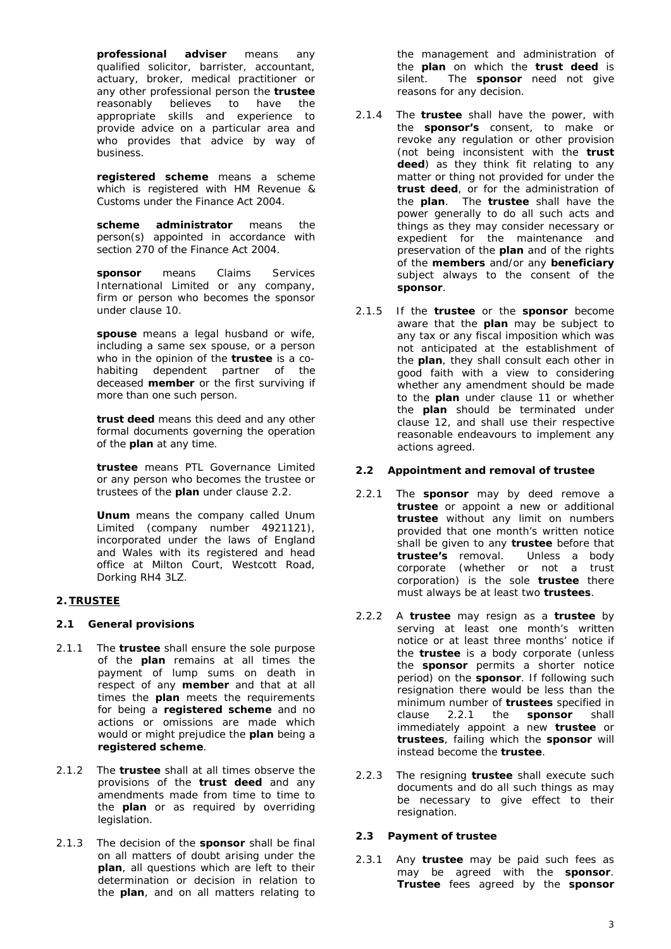**professional adviser** means any qualified solicitor, barrister, accountant, actuary, broker, medical practitioner or any other professional person the **trustee** reasonably believes to have the appropriate skills and experience to provide advice on a particular area and who provides that advice by way of business.

**registered scheme** means a scheme which is registered with HM Revenue & Customs under the Finance Act 2004.

**scheme administrator** means the person(s) appointed in accordance with section 270 of the Finance Act 2004.

**sponsor** means Claims Services International Limited or any company, firm or person who becomes the sponsor under clause 10.

**spouse** means a legal husband or wife, including a same sex spouse, or a person who in the opinion of the **trustee** is a cohabiting dependent partner of the deceased **member** or the first surviving if more than one such person.

**trust deed** means this deed and any other formal documents governing the operation of the **plan** at any time.

**trustee** means PTL Governance Limited or any person who becomes the trustee or trustees of the **plan** under clause 2.2.

**Unum** means the company called Unum Limited (company number 4921121), incorporated under the laws of England and Wales with its registered and head office at Milton Court, Westcott Road, Dorking RH4 3LZ.

# **2. TRUSTEE**

## **2.1 General provisions**

- 2.1.1 The **trustee** shall ensure the sole purpose of the **plan** remains at all times the payment of lump sums on death in respect of any **member** and that at all times the **plan** meets the requirements for being a **registered scheme** and no actions or omissions are made which would or might prejudice the **plan** being a **registered scheme**.
- 2.1.2 The **trustee** shall at all times observe the provisions of the **trust deed** and any amendments made from time to time to the **plan** or as required by overriding legislation.
- 2.1.3 The decision of the **sponsor** shall be final on all matters of doubt arising under the **plan**, all questions which are left to their determination or decision in relation to the **plan**, and on all matters relating to

the management and administration of the **plan** on which the **trust deed** is silent. The **sponsor** need not give reasons for any decision.

- 2.1.4 The **trustee** shall have the power, with the **sponsor's** consent, to make or revoke any regulation or other provision (not being inconsistent with the **trust deed**) as they think fit relating to any matter or thing not provided for under the **trust deed**, or for the administration of the **plan**. The **trustee** shall have the power generally to do all such acts and things as they may consider necessary or expedient for the maintenance and preservation of the **plan** and of the rights of the **members** and/or any **beneficiary** subject always to the consent of the **sponsor**.
- 2.1.5 If the **trustee** or the **sponsor** become aware that the **plan** may be subject to any tax or any fiscal imposition which was not anticipated at the establishment of the **plan**, they shall consult each other in good faith with a view to considering whether any amendment should be made to the **plan** under clause 11 or whether the **plan** should be terminated under clause 12, and shall use their respective reasonable endeavours to implement any actions agreed.

# **2.2 Appointment and removal of trustee**

- 2.2.1 The **sponsor** may by deed remove a **trustee** or appoint a new or additional **trustee** without any limit on numbers provided that one month's written notice shall be given to any **trustee** before that **trustee's** removal. Unless a body corporate (whether or not a trust corporation) is the sole **trustee** there must always be at least two **trustees**.
- 2.2.2 A **trustee** may resign as a **trustee** by serving at least one month's written notice or at least three months' notice if the **trustee** is a body corporate (unless the **sponsor** permits a shorter notice period) on the **sponsor**. If following such resignation there would be less than the minimum number of **trustees** specified in clause 2.2.1 the **sponsor** shall clause 2.2.1 the **sponsor** shall immediately appoint a new **trustee** or **trustees**, failing which the **sponsor** will instead become the **trustee**.
- 2.2.3 The resigning **trustee** shall execute such documents and do all such things as may be necessary to give effect to their resignation.

## **2.3 Payment of trustee**

2.3.1 Any **trustee** may be paid such fees as may be agreed with the **sponsor**. **Trustee** fees agreed by the **sponsor**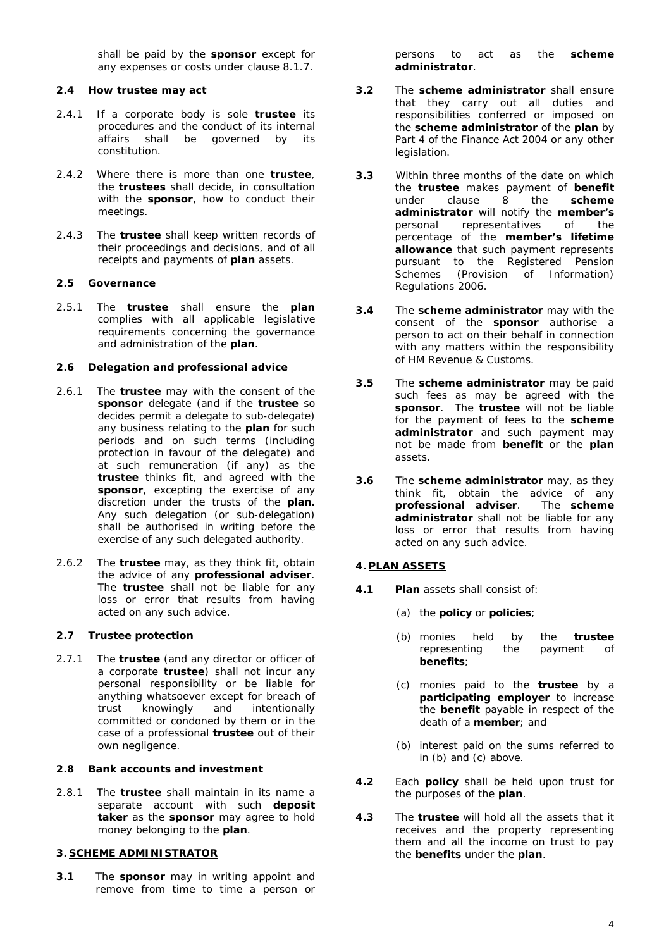shall be paid by the **sponsor** except for any expenses or costs under clause 8.1.7.

## **2.4 How trustee may act**

- 2.4.1 If a corporate body is sole **trustee** its procedures and the conduct of its internal affairs shall be governed by its constitution.
- 2.4.2 Where there is more than one **trustee**, the **trustees** shall decide, in consultation with the **sponsor**, how to conduct their meetings.
- 2.4.3 The **trustee** shall keep written records of their proceedings and decisions, and of all receipts and payments of **plan** assets.

# **2.5 Governance**

2.5.1 The **trustee** shall ensure the **plan** complies with all applicable legislative requirements concerning the governance and administration of the **plan**.

## **2.6 Delegation and professional advice**

- 2.6.1 The **trustee** may with the consent of the **sponsor** delegate (and if the **trustee** so decides permit a delegate to sub-delegate) any business relating to the **plan** for such periods and on such terms (including protection in favour of the delegate) and at such remuneration (if any) as the **trustee** thinks fit, and agreed with the **sponsor**, excepting the exercise of any discretion under the trusts of the **plan.**  Any such delegation (or sub-delegation) shall be authorised in writing before the exercise of any such delegated authority.
- 2.6.2 The **trustee** may, as they think fit, obtain the advice of any **professional adviser**. The **trustee** shall not be liable for any loss or error that results from having acted on any such advice.

# **2.7 Trustee protection**

2.7.1 The **trustee** (and any director or officer of a corporate **trustee**) shall not incur any personal responsibility or be liable for anything whatsoever except for breach of trust knowingly and intentionally committed or condoned by them or in the case of a professional **trustee** out of their own negligence.

## **2.8 Bank accounts and investment**

2.8.1 The **trustee** shall maintain in its name a separate account with such **deposit taker** as the **sponsor** may agree to hold money belonging to the **plan**.

## **3. SCHEME ADMINISTRATOR**

**3.1** The **sponsor** may in writing appoint and remove from time to time a person or persons to act as the **scheme administrator**.

- **3.2** The **scheme administrator** shall ensure that they carry out all duties and responsibilities conferred or imposed on the **scheme administrator** of the **plan** by Part 4 of the Finance Act 2004 or any other legislation.
- **3.3** Within three months of the date on which the **trustee** makes payment of **benefit** under clause 8 the **scheme administrator** will notify the **member's** personal representatives of the percentage of the **member's lifetime allowance** that such payment represents pursuant to the Registered Pension Schemes (Provision of Information) Regulations 2006.
- **3.4** The **scheme administrator** may with the consent of the **sponsor** authorise a person to act on their behalf in connection with any matters within the responsibility of HM Revenue & Customs.
- **3.5** The **scheme administrator** may be paid such fees as may be agreed with the **sponsor**. The **trustee** will not be liable for the payment of fees to the **scheme administrator** and such payment may not be made from **benefit** or the **plan** assets.
- **3.6** The **scheme administrator** may, as they think fit, obtain the advice of any **professional adviser**. The **scheme administrator** shall not be liable for any loss or error that results from having acted on any such advice.

## **4. PLAN ASSETS**

- **4.1 Plan** assets shall consist of:
	- (a) the **policy** or **policies**;
	- (b) monies held by the **trustee** representing the payment of **benefits**;
	- (c) monies paid to the **trustee** by a participating employer to increase the **benefit** payable in respect of the death of a **member**; and
	- (b) interest paid on the sums referred to in (b) and (c) above.
- **4.2** Each **policy** shall be held upon trust for the purposes of the **plan**.
- **4.3** The **trustee** will hold all the assets that it receives and the property representing them and all the income on trust to pay the **benefits** under the **plan**.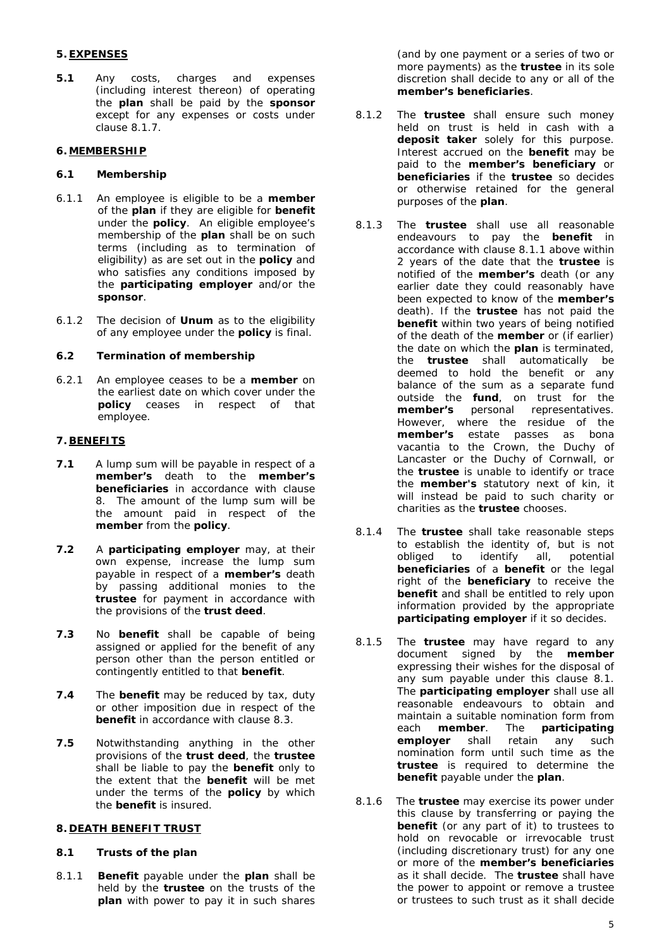# **5. EXPENSES**

**5.1** Any costs, charges and expenses (including interest thereon) of operating the **plan** shall be paid by the **sponsor**  except for any expenses or costs under clause 8.1.7.

#### **6. MEMBERSHIP**

#### **6.1 Membership**

- 6.1.1 An employee is eligible to be a **member** of the **plan** if they are eligible for **benefit**  under the **policy**. An eligible employee's membership of the **plan** shall be on such terms (including as to termination of eligibility) as are set out in the **policy** and who satisfies any conditions imposed by the **participating employer** and/or the **sponsor**.
- 6.1.2 The decision of **Unum** as to the eligibility of any employee under the **policy** is final.

#### **6.2 Termination of membership**

6.2.1 An employee ceases to be a **member** on the earliest date on which cover under the **policy** ceases in respect of that employee.

## **7. BENEFITS**

- **7.1** A lump sum will be payable in respect of a **member's** death to the **member's beneficiaries** in accordance with clause 8. The amount of the lump sum will be the amount paid in respect of the **member** from the **policy**.
- **7.2** A **participating employer** may, at their own expense, increase the lump sum payable in respect of a **member's** death by passing additional monies to the **trustee** for payment in accordance with the provisions of the **trust deed**.
- **7.3** No **benefit** shall be capable of being assigned or applied for the benefit of any person other than the person entitled or contingently entitled to that **benefit**.
- **7.4** The **benefit** may be reduced by tax, duty or other imposition due in respect of the **benefit** in accordance with clause 8.3.
- **7.5** Notwithstanding anything in the other provisions of the **trust deed**, the **trustee** shall be liable to pay the **benefit** only to the extent that the **benefit** will be met under the terms of the **policy** by which the **benefit** is insured.

#### **8. DEATH BENEFIT TRUST**

#### **8.1 Trusts of the plan**

8.1.1 **Benefit** payable under the **plan** shall be held by the **trustee** on the trusts of the **plan** with power to pay it in such shares

(and by one payment or a series of two or more payments) as the **trustee** in its sole discretion shall decide to any or all of the **member's beneficiaries**.

- 8.1.2 The **trustee** shall ensure such money held on trust is held in cash with a **deposit taker** solely for this purpose. Interest accrued on the **benefit** may be paid to the **member's beneficiary** or **beneficiaries** if the **trustee** so decides or otherwise retained for the general purposes of the **plan**.
- 8.1.3 The **trustee** shall use all reasonable endeavours to pay the **benefit** in accordance with clause 8.1.1 above within 2 years of the date that the **trustee** is notified of the **member's** death (or any earlier date they could reasonably have been expected to know of the **member's** death). If the **trustee** has not paid the **benefit** within two years of being notified of the death of the **member** or (if earlier) the date on which the **plan** is terminated, the **trustee** shall automatically be deemed to hold the benefit or any balance of the sum as a separate fund outside the **fund**, on trust for the **member's** personal representatives. However, where the residue of the **member's** estate passes as bona vacantia to the Crown, the Duchy of Lancaster or the Duchy of Cornwall, or the **trustee** is unable to identify or trace the **member's** statutory next of kin, it will instead be paid to such charity or charities as the **trustee** chooses.
- 8.1.4 The **trustee** shall take reasonable steps to establish the identity of, but is not obliged to identify all, potential **beneficiaries** of a **benefit** or the legal right of the **beneficiary** to receive the **benefit** and shall be entitled to rely upon information provided by the appropriate **participating employer** if it so decides.
- 8.1.5 The **trustee** may have regard to any document signed by the **member** expressing their wishes for the disposal of any sum payable under this clause 8.1. The **participating employer** shall use all reasonable endeavours to obtain and maintain a suitable nomination form from each **member**. The **participating employer** shall retain any such nomination form until such time as the **trustee** is required to determine the **benefit** payable under the **plan**.
- 8.1.6 The **trustee** may exercise its power under this clause by transferring or paying the **benefit** (or any part of it) to trustees to hold on revocable or irrevocable trust (including discretionary trust) for any one or more of the **member's beneficiaries** as it shall decide. The **trustee** shall have the power to appoint or remove a trustee or trustees to such trust as it shall decide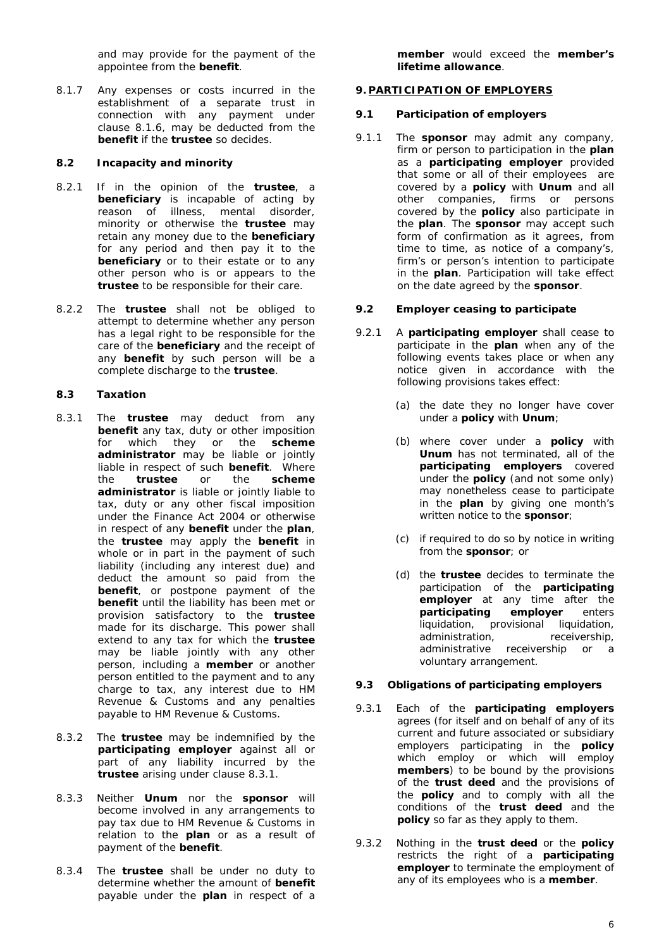and may provide for the payment of the appointee from the **benefit**.

8.1.7 Any expenses or costs incurred in the establishment of a separate trust in connection with any payment under clause 8.1.6, may be deducted from the **benefit** if the **trustee** so decides.

## **8.2 Incapacity and minority**

- 8.2.1 If in the opinion of the **trustee**, a **beneficiary** is incapable of acting by reason of illness, mental disorder, minority or otherwise the **trustee** may retain any money due to the **beneficiary** for any period and then pay it to the **beneficiary** or to their estate or to any other person who is or appears to the **trustee** to be responsible for their care.
- 8.2.2 The **trustee** shall not be obliged to attempt to determine whether any person has a legal right to be responsible for the care of the **beneficiary** and the receipt of any **benefit** by such person will be a complete discharge to the **trustee**.

## **8.3 Taxation**

- 8.3.1 The **trustee** may deduct from any **benefit** any tax, duty or other imposition for which they or the **scheme administrator** may be liable or jointly liable in respect of such **benefit**. Where the **trustee** or the **scheme administrator** is liable or jointly liable to tax, duty or any other fiscal imposition under the Finance Act 2004 or otherwise in respect of any **benefit** under the **plan**, the **trustee** may apply the **benefit** in whole or in part in the payment of such liability (including any interest due) and deduct the amount so paid from the **benefit**, or postpone payment of the **benefit** until the liability has been met or provision satisfactory to the **trustee** made for its discharge. This power shall extend to any tax for which the **trustee** may be liable jointly with any other person, including a **member** or another person entitled to the payment and to any charge to tax, any interest due to HM Revenue & Customs and any penalties payable to HM Revenue & Customs.
- 8.3.2 The **trustee** may be indemnified by the **participating employer** against all or part of any liability incurred by the **trustee** arising under clause 8.3.1.
- 8.3.3 Neither **Unum** nor the **sponsor** will become involved in any arrangements to pay tax due to HM Revenue & Customs in relation to the **plan** or as a result of payment of the **benefit**.
- 8.3.4 The **trustee** shall be under no duty to determine whether the amount of **benefit** payable under the **plan** in respect of a

**member** would exceed the **member's lifetime allowance**.

# **9. PARTICIPATION OF EMPLOYERS**

## **9.1 Participation of employers**

9.1.1 The **sponsor** may admit any company, firm or person to participation in the **plan** as a **participating employer** provided that some or all of their employees are covered by a **policy** with **Unum** and all other companies, firms or persons covered by the **policy** also participate in the **plan**. The **sponsor** may accept such form of confirmation as it agrees, from time to time, as notice of a company's, firm's or person's intention to participate in the **plan**. Participation will take effect on the date agreed by the **sponsor**.

## **9.2 Employer ceasing to participate**

- 9.2.1 A **participating employer** shall cease to participate in the **plan** when any of the following events takes place or when any notice given in accordance with the following provisions takes effect:
	- (a) the date they no longer have cover under a **policy** with **Unum**;
	- (b) where cover under a **policy** with **Unum** has not terminated, all of the **participating employers** covered under the **policy** (and not some only) may nonetheless cease to participate in the **plan** by giving one month's written notice to the **sponsor**;
	- (c) if required to do so by notice in writing from the **sponsor**; or
	- (d) the **trustee** decides to terminate the participation of the **participating employer** at any time after the **participating employer** enters liquidation, provisional liquidation,<br>administration. receivership. administration, administrative receivership or a voluntary arrangement.

## **9.3 Obligations of participating employers**

- 9.3.1 Each of the **participating employers** agrees (for itself and on behalf of any of its current and future associated or subsidiary employers participating in the **policy** which employ or which will employ **members**) to be bound by the provisions of the **trust deed** and the provisions of the **policy** and to comply with all the conditions of the **trust deed** and the **policy** so far as they apply to them.
- 9.3.2 Nothing in the **trust deed** or the **policy** restricts the right of a **participating employer** to terminate the employment of any of its employees who is a **member**.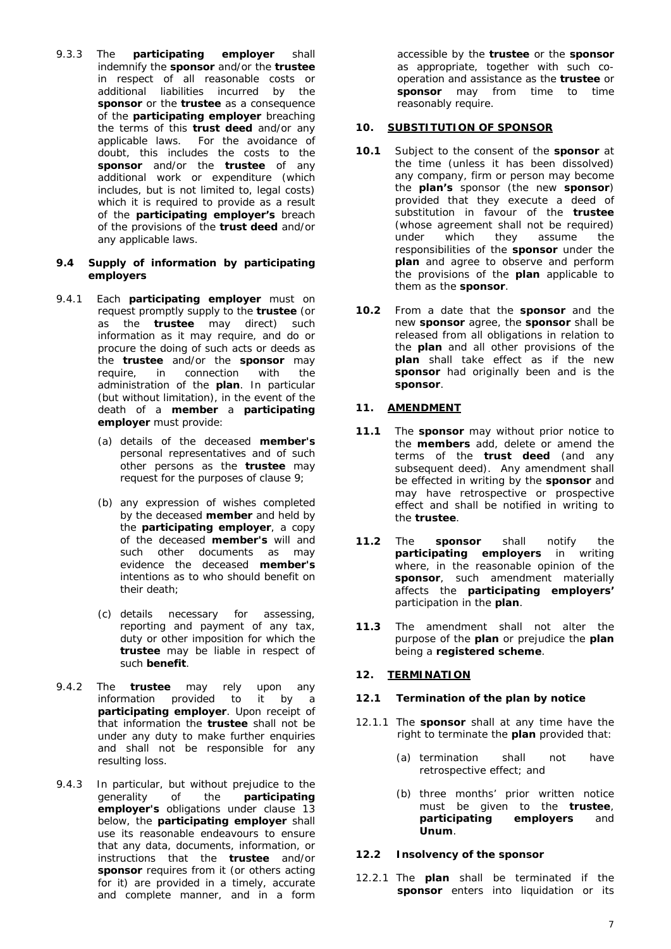9.3.3 The **participating employer** shall indemnify the **sponsor** and/or the **trustee** in respect of all reasonable costs or additional liabilities incurred by the **sponsor** or the **trustee** as a consequence of the **participating employer** breaching the terms of this **trust deed** and/or any applicable laws. For the avoidance of doubt, this includes the costs to the **sponsor** and/or the **trustee** of any additional work or expenditure (which includes, but is not limited to, legal costs) which it is required to provide as a result of the **participating employer's** breach of the provisions of the **trust deed** and/or any applicable laws.

#### **9.4 Supply of information by participating employers**

- 9.4.1 Each **participating employer** must on request promptly supply to the **trustee** (or as the **trustee** may direct) such information as it may require, and do or procure the doing of such acts or deeds as the **trustee** and/or the **sponsor** may require, in connection with the administration of the **plan**. In particular (but without limitation), in the event of the death of a **member** a **participating employer** must provide:
	- (a) details of the deceased **member's** personal representatives and of such other persons as the **trustee** may request for the purposes of clause 9;
	- (b) any expression of wishes completed by the deceased **member** and held by the **participating employer**, a copy of the deceased **member's** will and such other documents as may evidence the deceased **member's** intentions as to who should benefit on their death;
	- (c) details necessary for assessing, reporting and payment of any tax, duty or other imposition for which the **trustee** may be liable in respect of such **benefit**.
- 9.4.2 The **trustee** may rely upon any information provided to it by a **participating employer**. Upon receipt of that information the **trustee** shall not be under any duty to make further enquiries and shall not be responsible for any resulting loss.
- 9.4.3 In particular, but without prejudice to the generality of the **participating employer's** obligations under clause 13 below, the **participating employer** shall use its reasonable endeavours to ensure that any data, documents, information, or instructions that the **trustee** and/or sponsor requires from it (or others acting for it) are provided in a timely, accurate and complete manner, and in a form

accessible by the **trustee** or the **sponsor** as appropriate, together with such cooperation and assistance as the **trustee** or **sponsor** may from time to time reasonably require.

## **10. SUBSTITUTION OF SPONSOR**

- **10.1** Subject to the consent of the **sponsor** at the time (unless it has been dissolved) any company, firm or person may become the **plan's** sponsor (the new **sponsor**) provided that they execute a deed of substitution in favour of the **trustee** (whose agreement shall not be required) under which they assume the responsibilities of the **sponsor** under the **plan** and agree to observe and perform the provisions of the **plan** applicable to them as the **sponsor**.
- **10.2** From a date that the **sponsor** and the new **sponsor** agree, the **sponsor** shall be released from all obligations in relation to the **plan** and all other provisions of the **plan** shall take effect as if the new **sponsor** had originally been and is the **sponsor**.

#### **11. AMENDMENT**

- **11.1** The **sponsor** may without prior notice to the **members** add, delete or amend the terms of the **trust deed** (and any subsequent deed). Any amendment shall be effected in writing by the **sponsor** and may have retrospective or prospective effect and shall be notified in writing to the **trustee**.
- **11.2** The **sponsor** shall notify the **participating employers** in writing where, in the reasonable opinion of the **sponsor**, such amendment materially affects the **participating employers'** participation in the **plan**.
- **11.3** The amendment shall not alter the purpose of the **plan** or prejudice the **plan** being a **registered scheme**.

## **12. TERMINATION**

# **12.1 Termination of the plan by notice**

- 12.1.1 The **sponsor** shall at any time have the right to terminate the **plan** provided that:
	- (a) termination shall not have retrospective effect; and
	- (b) three months' prior written notice must be given to the **trustee**, **participating employers** and **Unum**.

# **12.2 Insolvency of the sponsor**

12.2.1 The **plan** shall be terminated if the **sponsor** enters into liquidation or its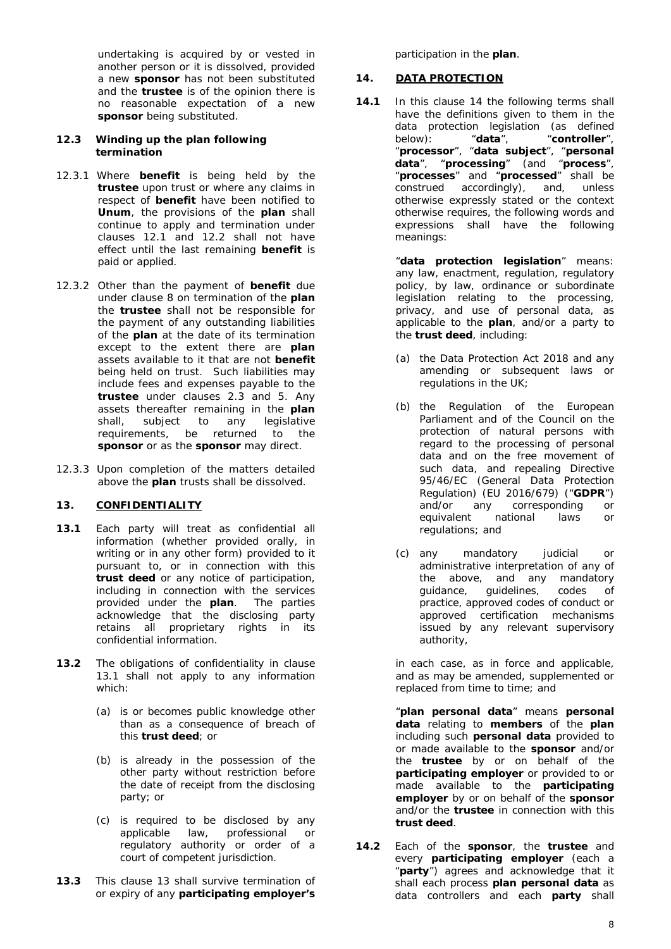undertaking is acquired by or vested in another person or it is dissolved, provided a new **sponsor** has not been substituted and the **trustee** is of the opinion there is no reasonable expectation of a new **sponsor** being substituted.

#### **12.3 Winding up the plan following termination**

- 12.3.1 Where **benefit** is being held by the **trustee** upon trust or where any claims in respect of **benefit** have been notified to **Unum**, the provisions of the **plan** shall continue to apply and termination under clauses 12.1 and 12.2 shall not have effect until the last remaining **benefit** is paid or applied.
- 12.3.2 Other than the payment of **benefit** due under clause 8 on termination of the **plan** the **trustee** shall not be responsible for the payment of any outstanding liabilities of the **plan** at the date of its termination except to the extent there are **plan** assets available to it that are not **benefit** being held on trust. Such liabilities may include fees and expenses payable to the **trustee** under clauses 2.3 and 5. Any assets thereafter remaining in the **plan** shall, subject to any legislative requirements, be returned to the **sponsor** or as the **sponsor** may direct.
- 12.3.3 Upon completion of the matters detailed above the **plan** trusts shall be dissolved.

## **13. CONFIDENTIALITY**

- <span id="page-7-0"></span>**13.1** Each party will treat as confidential all information (whether provided orally, in writing or in any other form) provided to it pursuant to, or in connection with this **trust deed** or any notice of participation, including in connection with the services provided under the **plan**. The parties acknowledge that the disclosing party retains all proprietary rights in its confidential information.
- 13.2 The obligations of confidentiality in clause [13.1](#page-7-0) shall not apply to any information which:
	- (a) is or becomes public knowledge other than as a consequence of breach of this **trust deed**; or
	- (b) is already in the possession of the other party without restriction before the date of receipt from the disclosing party; or
	- (c) is required to be disclosed by any applicable law, professional or regulatory authority or order of a court of competent jurisdiction.
- **13.3** This clause 13 shall survive termination of or expiry of any **participating employer's**

participation in the **plan**.

## <span id="page-7-1"></span>**14. DATA PROTECTION**

**14.1** In this clause [14](#page-7-1) the following terms shall have the definitions given to them in the data protection legislation (as defined<br>below): "data", "controller", below): "**data**", "**processor**", "**data subject**", "**personal data**", "**processing**" (and "**process**", "**processes**" and "**processed**" shall be construed accordingly), and, unless otherwise expressly stated or the context otherwise requires, the following words and expressions shall have the following meanings:

> "**data protection legislation**" means: any law, enactment, regulation, regulatory policy, by law, ordinance or subordinate legislation relating to the processing, privacy, and use of personal data, as applicable to the **plan**, and/or a party to the **trust deed**, including:

- (a) the Data Protection Act 2018 and any amending or subsequent laws or regulations in the UK;
- (b) the Regulation of the European Parliament and of the Council on the protection of natural persons with regard to the processing of personal data and on the free movement of such data, and repealing Directive 95/46/EC (General Data Protection Regulation) (EU 2016/679) ("**GDPR**") and/or any corresponding or equivalent national laws or regulations; and
- (c) any mandatory judicial or administrative interpretation of any of the above, and any mandatory guidance, guidelines, codes of practice, approved codes of conduct or approved certification mechanisms issued by any relevant supervisory authority,

in each case, as in force and applicable, and as may be amended, supplemented or replaced from time to time; and

"**plan personal data**" means **personal data** relating to **members** of the **plan** including such **personal data** provided to or made available to the **sponsor** and/or the **trustee** by or on behalf of the **participating employer** or provided to or made available to the **participating employer** by or on behalf of the **sponsor**  and/or the **trustee** in connection with this **trust deed**.

**14.2** Each of the **sponsor**, the **trustee** and every **participating employer** (each a "**party**") agrees and acknowledge that it shall each process **plan personal data** as data controllers and each **party** shall